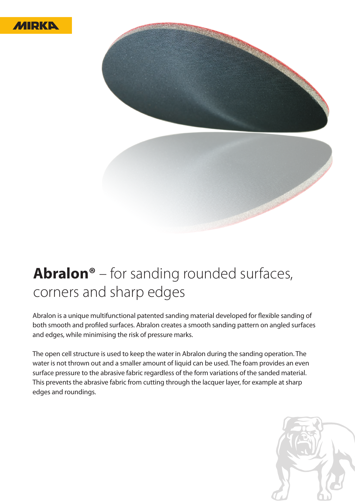



## **Abralon®** – for sanding rounded surfaces, corners and sharp edges

Abralon is a unique multifunctional patented sanding material developed for flexible sanding of both smooth and profiled surfaces. Abralon creates a smooth sanding pattern on angled surfaces and edges, while minimising the risk of pressure marks.

The open cell structure is used to keep the water in Abralon during the sanding operation. The water is not thrown out and a smaller amount of liquid can be used. The foam provides an even surface pressure to the abrasive fabric regardless of the form variations of the sanded material. This prevents the abrasive fabric from cutting through the lacquer layer, for example at sharp edges and roundings.